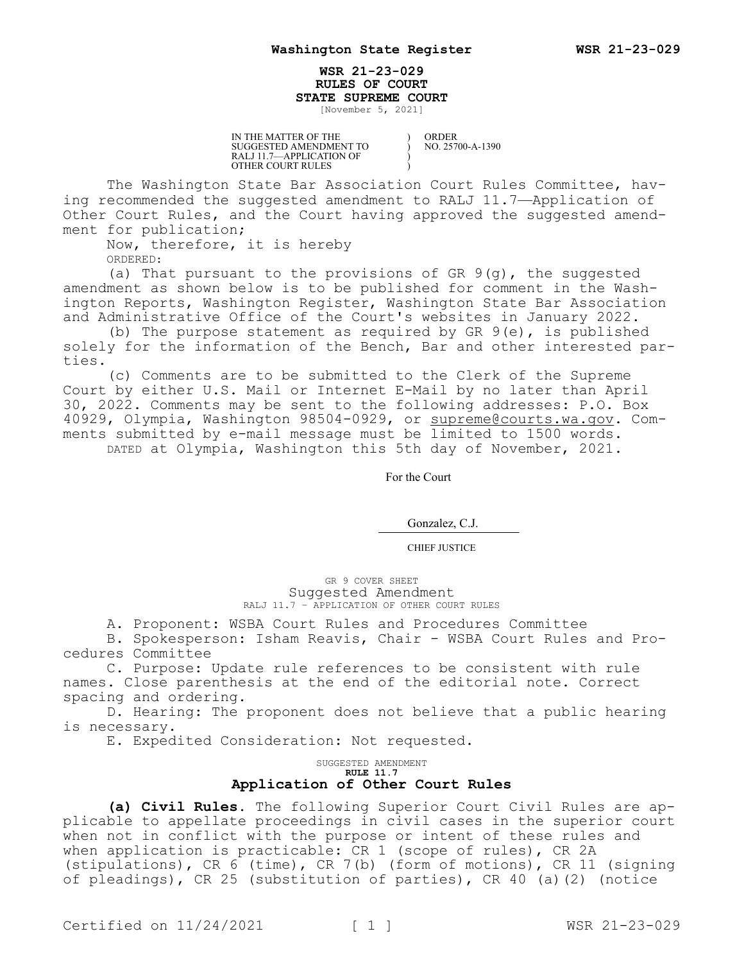## **WSR 21-23-029 RULES OF COURT STATE SUPREME COURT**

) ) ) )

[November 5, 2021]

IN THE MATTER OF THE SUGGESTED AMENDMENT TO RALJ 11.7—APPLICATION OF OTHER COURT RULES

ORDER NO. 25700-A-1390

The Washington State Bar Association Court Rules Committee, having recommended the suggested amendment to RALJ 11.7—Application of Other Court Rules, and the Court having approved the suggested amendment for publication;

Now, therefore, it is hereby

ORDERED:

(a) That pursuant to the provisions of GR 9(g), the suggested amendment as shown below is to be published for comment in the Washington Reports, Washington Register, Washington State Bar Association and Administrative Office of the Court's websites in January 2022.

(b) The purpose statement as required by GR 9(e), is published solely for the information of the Bench, Bar and other interested parties.

(c) Comments are to be submitted to the Clerk of the Supreme Court by either U.S. Mail or Internet E-Mail by no later than April 30, 2022. Comments may be sent to the following addresses: P.O. Box 40929, Olympia, Washington 98504-0929, or supreme@courts.wa.qov. Comments submitted by e-mail message must be limited to 1500 words. DATED at Olympia, Washington this 5th day of November, 2021.

For the Court

Gonzalez, C.J.

CHIEF JUSTICE

GR 9 COVER SHEET Suggested Amendment RALJ 11.7 – APPLICATION OF OTHER COURT RULES

A. Proponent: WSBA Court Rules and Procedures Committee

B. Spokesperson: Isham Reavis, Chair - WSBA Court Rules and Procedures Committee

C. Purpose: Update rule references to be consistent with rule names. Close parenthesis at the end of the editorial note. Correct spacing and ordering.

D. Hearing: The proponent does not believe that a public hearing is necessary.

E. Expedited Consideration: Not requested.

SUGGESTED AMENDMENT **RULE 11.7 Application of Other Court Rules**

**(a) Civil Rules.** The following Superior Court Civil Rules are applicable to appellate proceedings in civil cases in the superior court when not in conflict with the purpose or intent of these rules and when application is practicable: CR 1 (scope of rules), CR 2A (stipulations), CR 6 (time), CR 7(b) (form of motions), CR 11 (signing of pleadings), CR 25 (substitution of parties), CR 40 (a)(2) (notice